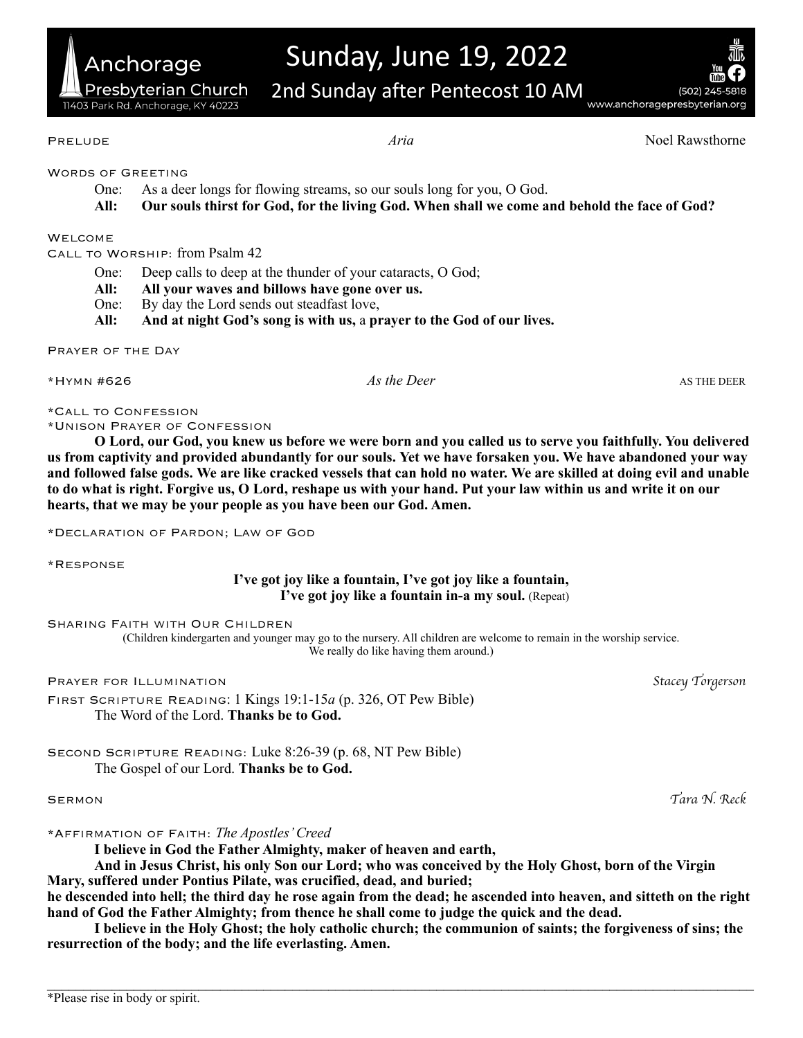# Sunday, June 19, 2022

2nd Sunday after Pentecost 10 AM

(502) 245-5818 www.anchoragepresbyterian.org

WORDS OF GREETING

Anchorage

11403 Park Rd. Anchorage, KY 40223

Presbyterian Church

- One: As a deer longs for flowing streams, so our souls long for you, O God.
- **All: Our souls thirst for God, for the living God. When shall we come and behold the face of God?**

### WELCOME.

Call to Worship: from Psalm 42

- One: Deep calls to deep at the thunder of your cataracts, O God;
- **All: All your waves and billows have gone over us.**
- One: By day the Lord sends out steadfast love,
- **All: And at night God's song is with us,** a **prayer to the God of our lives.**

Prayer of the Day

\*Hymn #626 *As the Deer* AS THE DEER

\*Call to Confession

\*Unison Prayer of Confession

**O Lord, our God, you knew us before we were born and you called us to serve you faithfully. You delivered us from captivity and provided abundantly for our souls. Yet we have forsaken you. We have abandoned your way and followed false gods. We are like cracked vessels that can hold no water. We are skilled at doing evil and unable to do what is right. Forgive us, O Lord, reshape us with your hand. Put your law within us and write it on our hearts, that we may be your people as you have been our God. Amen.** 

\*Declaration of Pardon; Law of God

\*Response

# **I've got joy like a fountain, I've got joy like a fountain, I've got joy like a fountain in-a my soul.** (Repeat)

Sharing Faith with Our Children

(Children kindergarten and younger may go to the nursery. All children are welcome to remain in the worship service. We really do like having them around.)

Prayer for Illumination *Stacey Torgerson*

First Scripture Reading: 1 Kings 19:1-15*a* (p. 326, OT Pew Bible) The Word of the Lord. **Thanks be to God.**

Second Scripture Reading: Luke 8:26-39 (p. 68, NT Pew Bible) The Gospel of our Lord. **Thanks be to God.**

\*Affirmation of Faith: *The Apostles' Creed*

**I believe in God the Father Almighty, maker of heaven and earth,** 

**And in Jesus Christ, his only Son our Lord; who was conceived by the Holy Ghost, born of the Virgin Mary, suffered under Pontius Pilate, was crucified, dead, and buried;** 

**he descended into hell; the third day he rose again from the dead; he ascended into heaven, and sitteth on the right hand of God the Father Almighty; from thence he shall come to judge the quick and the dead.** 

**I believe in the Holy Ghost; the holy catholic church; the communion of saints; the forgiveness of sins; the resurrection of the body; and the life everlasting. Amen.**

 $\mathcal{L}_\mathcal{L} = \mathcal{L}_\mathcal{L} = \mathcal{L}_\mathcal{L} = \mathcal{L}_\mathcal{L} = \mathcal{L}_\mathcal{L} = \mathcal{L}_\mathcal{L} = \mathcal{L}_\mathcal{L} = \mathcal{L}_\mathcal{L} = \mathcal{L}_\mathcal{L} = \mathcal{L}_\mathcal{L} = \mathcal{L}_\mathcal{L} = \mathcal{L}_\mathcal{L} = \mathcal{L}_\mathcal{L} = \mathcal{L}_\mathcal{L} = \mathcal{L}_\mathcal{L} = \mathcal{L}_\mathcal{L} = \mathcal{L}_\mathcal{L}$ 

Sermon *Tara N. Reck*